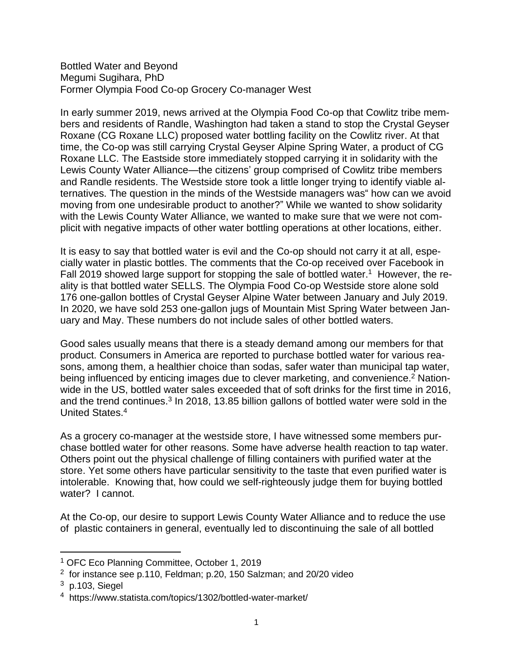Bottled Water and Beyond Megumi Sugihara, PhD Former Olympia Food Co-op Grocery Co-manager West

In early summer 2019, news arrived at the Olympia Food Co-op that Cowlitz tribe members and residents of Randle, Washington had taken a stand to stop the Crystal Geyser Roxane (CG Roxane LLC) proposed water bottling facility on the Cowlitz river. At that time, the Co-op was still carrying Crystal Geyser Alpine Spring Water, a product of CG Roxane LLC. The Eastside store immediately stopped carrying it in solidarity with the Lewis County Water Alliance—the citizens' group comprised of Cowlitz tribe members and Randle residents. The Westside store took a little longer trying to identify viable alternatives. The question in the minds of the Westside managers was" how can we avoid moving from one undesirable product to another?" While we wanted to show solidarity with the Lewis County Water Alliance, we wanted to make sure that we were not complicit with negative impacts of other water bottling operations at other locations, either.

It is easy to say that bottled water is evil and the Co-op should not carry it at all, especially water in plastic bottles. The comments that the Co-op received over Facebook in Fall 2019 showed large support for stopping the sale of bottled water.<sup>1</sup> However, the reality is that bottled water SELLS. The Olympia Food Co-op Westside store alone sold 176 one-gallon bottles of Crystal Geyser Alpine Water between January and July 2019. In 2020, we have sold 253 one-gallon jugs of Mountain Mist Spring Water between January and May. These numbers do not include sales of other bottled waters.

Good sales usually means that there is a steady demand among our members for that product. Consumers in America are reported to purchase bottled water for various reasons, among them, a healthier choice than sodas, safer water than municipal tap water, being influenced by enticing images due to clever marketing, and convenience.<sup>2</sup> Nationwide in the US, bottled water sales exceeded that of soft drinks for the first time in 2016, and the trend continues.<sup>3</sup> In 2018, 13.85 billion gallons of bottled water were sold in the United States.<sup>4</sup>

As a grocery co-manager at the westside store, I have witnessed some members purchase bottled water for other reasons. Some have adverse health reaction to tap water. Others point out the physical challenge of filling containers with purified water at the store. Yet some others have particular sensitivity to the taste that even purified water is intolerable. Knowing that, how could we self-righteously judge them for buying bottled water? I cannot.

At the Co-op, our desire to support Lewis County Water Alliance and to reduce the use of plastic containers in general, eventually led to discontinuing the sale of all bottled

<sup>1</sup> OFC Eco Planning Committee, October 1, 2019

 $2$  for instance see p.110, Feldman; p.20, 150 Salzman; and 20/20 video

 $3$  p.103, Siegel

<sup>4</sup> https://www.statista.com/topics/1302/bottled-water-market/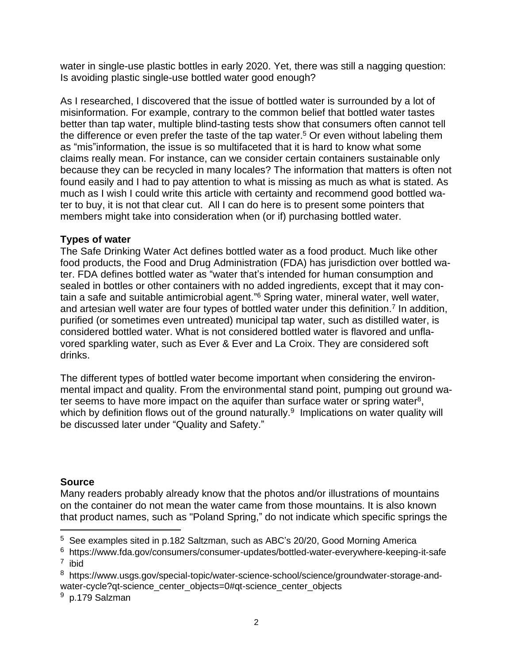water in single-use plastic bottles in early 2020. Yet, there was still a nagging question: Is avoiding plastic single-use bottled water good enough?

As I researched, I discovered that the issue of bottled water is surrounded by a lot of misinformation. For example, contrary to the common belief that bottled water tastes better than tap water, multiple blind-tasting tests show that consumers often cannot tell the difference or even prefer the taste of the tap water.<sup>5</sup> Or even without labeling them as "mis"information, the issue is so multifaceted that it is hard to know what some claims really mean. For instance, can we consider certain containers sustainable only because they can be recycled in many locales? The information that matters is often not found easily and I had to pay attention to what is missing as much as what is stated. As much as I wish I could write this article with certainty and recommend good bottled water to buy, it is not that clear cut. All I can do here is to present some pointers that members might take into consideration when (or if) purchasing bottled water.

## **Types of water**

The Safe Drinking Water Act defines bottled water as a food product. Much like other food products, the Food and Drug Administration (FDA) has jurisdiction over bottled water. FDA defines bottled water as "water that's intended for human consumption and sealed in bottles or other containers with no added ingredients, except that it may contain a safe and suitable antimicrobial agent." <sup>6</sup> Spring water, mineral water, well water, and artesian well water are four types of bottled water under this definition.<sup>7</sup> In addition, purified (or sometimes even untreated) municipal tap water, such as distilled water, is considered bottled water. What is not considered bottled water is flavored and unflavored sparkling water, such as Ever & Ever and La Croix. They are considered soft drinks.

The different types of bottled water become important when considering the environmental impact and quality. From the environmental stand point, pumping out ground water seems to have more impact on the aquifer than surface water or spring water<sup>8</sup>, which by definition flows out of the ground naturally.<sup>9</sup> Implications on water quality will be discussed later under "Quality and Safety."

# **Source**

Many readers probably already know that the photos and/or illustrations of mountains on the container do not mean the water came from those mountains. It is also known that product names, such as "Poland Spring," do not indicate which specific springs the

<sup>&</sup>lt;sup>5</sup> See examples sited in p.182 Saltzman, such as ABC's 20/20, Good Morning America

<sup>&</sup>lt;sup>6</sup> https://www.fda.gov/consumers/consumer-updates/bottled-water-everywhere-keeping-it-safe 7 ibid

<sup>&</sup>lt;sup>8</sup> https://www.usgs.gov/special-topic/water-science-school/science/groundwater-storage-andwater-cycle?qt-science\_center\_objects=0#qt-science\_center\_objects

<sup>&</sup>lt;sup>9</sup> p.179 Salzman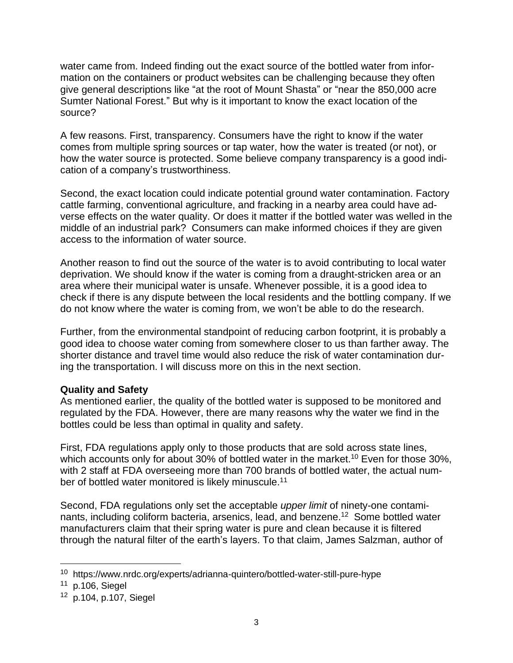water came from. Indeed finding out the exact source of the bottled water from information on the containers or product websites can be challenging because they often give general descriptions like "at the root of Mount Shasta" or "near the 850,000 acre Sumter National Forest." But why is it important to know the exact location of the source?

A few reasons. First, transparency. Consumers have the right to know if the water comes from multiple spring sources or tap water, how the water is treated (or not), or how the water source is protected. Some believe company transparency is a good indication of a company's trustworthiness.

Second, the exact location could indicate potential ground water contamination. Factory cattle farming, conventional agriculture, and fracking in a nearby area could have adverse effects on the water quality. Or does it matter if the bottled water was welled in the middle of an industrial park? Consumers can make informed choices if they are given access to the information of water source.

Another reason to find out the source of the water is to avoid contributing to local water deprivation. We should know if the water is coming from a draught-stricken area or an area where their municipal water is unsafe. Whenever possible, it is a good idea to check if there is any dispute between the local residents and the bottling company. If we do not know where the water is coming from, we won't be able to do the research.

Further, from the environmental standpoint of reducing carbon footprint, it is probably a good idea to choose water coming from somewhere closer to us than farther away. The shorter distance and travel time would also reduce the risk of water contamination during the transportation. I will discuss more on this in the next section.

# **Quality and Safety**

As mentioned earlier, the quality of the bottled water is supposed to be monitored and regulated by the FDA. However, there are many reasons why the water we find in the bottles could be less than optimal in quality and safety.

First, FDA regulations apply only to those products that are sold across state lines, which accounts only for about 30% of bottled water in the market.<sup>10</sup> Even for those 30%, with 2 staff at FDA overseeing more than 700 brands of bottled water, the actual number of bottled water monitored is likely minuscule.<sup>11</sup>

Second, FDA regulations only set the acceptable *upper limit* of ninety-one contaminants, including coliform bacteria, arsenics, lead, and benzene.<sup>12</sup> Some bottled water manufacturers claim that their spring water is pure and clean because it is filtered through the natural filter of the earth's layers. To that claim, James Salzman, author of

<sup>&</sup>lt;sup>10</sup> https://www.nrdc.org/experts/adrianna-quintero/bottled-water-still-pure-hype

 $11$  p.106, Siegel

<sup>12</sup> p.104, p.107, Siegel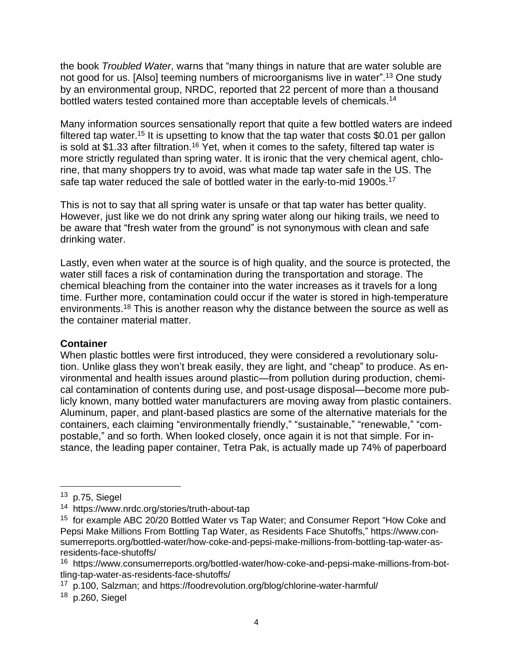the book *Troubled Water*, warns that "many things in nature that are water soluble are not good for us. [Also] teeming numbers of microorganisms live in water".<sup>13</sup> One study by an environmental group, NRDC, reported that 22 percent of more than a thousand bottled waters tested contained more than acceptable levels of chemicals.<sup>14</sup>

Many information sources sensationally report that quite a few bottled waters are indeed filtered tap water.<sup>15</sup> It is upsetting to know that the tap water that costs \$0.01 per gallon is sold at \$1.33 after filtration.<sup>16</sup> Yet, when it comes to the safety, filtered tap water is more strictly regulated than spring water. It is ironic that the very chemical agent, chlorine, that many shoppers try to avoid, was what made tap water safe in the US. The safe tap water reduced the sale of bottled water in the early-to-mid 1900s.<sup>17</sup>

This is not to say that all spring water is unsafe or that tap water has better quality. However, just like we do not drink any spring water along our hiking trails, we need to be aware that "fresh water from the ground" is not synonymous with clean and safe drinking water.

Lastly, even when water at the source is of high quality, and the source is protected, the water still faces a risk of contamination during the transportation and storage. The chemical bleaching from the container into the water increases as it travels for a long time. Further more, contamination could occur if the water is stored in high-temperature environments.<sup>18</sup> This is another reason why the distance between the source as well as the container material matter.

## **Container**

When plastic bottles were first introduced, they were considered a revolutionary solution. Unlike glass they won't break easily, they are light, and "cheap" to produce. As environmental and health issues around plastic—from pollution during production, chemical contamination of contents during use, and post-usage disposal—become more publicly known, many bottled water manufacturers are moving away from plastic containers. Aluminum, paper, and plant-based plastics are some of the alternative materials for the containers, each claiming "environmentally friendly," "sustainable," "renewable," "compostable," and so forth. When looked closely, once again it is not that simple. For instance, the leading paper container, Tetra Pak, is actually made up 74% of paperboard

 $13$  p.75, Siegel

<sup>14</sup> https://www.nrdc.org/stories/truth-about-tap

<sup>&</sup>lt;sup>15</sup> for example ABC 20/20 Bottled Water vs Tap Water; and Consumer Report "How Coke and Pepsi Make Millions From Bottling Tap Water, as Residents Face Shutoffs," https://www.consumerreports.org/bottled-water/how-coke-and-pepsi-make-millions-from-bottling-tap-water-asresidents-face-shutoffs/

<sup>&</sup>lt;sup>16</sup> https://www.consumerreports.org/bottled-water/how-coke-and-pepsi-make-millions-from-bottling-tap-water-as-residents-face-shutoffs/

<sup>&</sup>lt;sup>17</sup> p.100, Salzman; and https://foodrevolution.org/blog/chlorine-water-harmful/

<sup>&</sup>lt;sup>18</sup> p.260, Siegel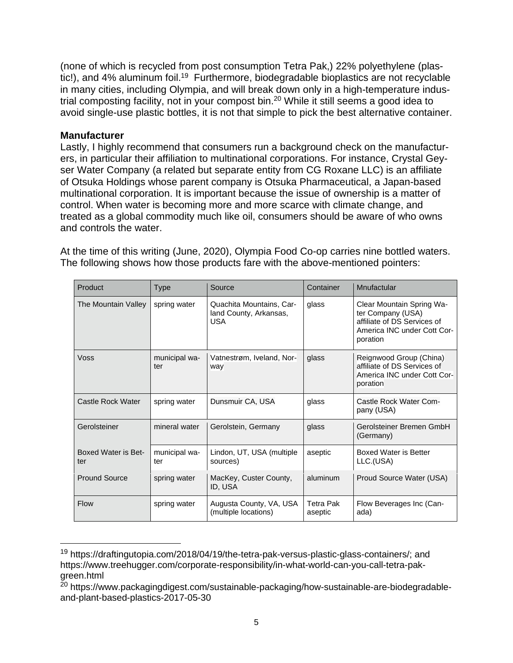(none of which is recycled from post consumption Tetra Pak,) 22% polyethylene (plastic!), and 4% aluminum foil.<sup>19</sup> Furthermore, biodegradable bioplastics are not recyclable in many cities, including Olympia, and will break down only in a high-temperature industrial composting facility, not in your compost bin.<sup>20</sup> While it still seems a good idea to avoid single-use plastic bottles, it is not that simple to pick the best alternative container.

## **Manufacturer**

Lastly, I highly recommend that consumers run a background check on the manufacturers, in particular their affiliation to multinational corporations. For instance, Crystal Geyser Water Company (a related but separate entity from CG Roxane LLC) is an affiliate of Otsuka Holdings whose parent company is Otsuka Pharmaceutical, a Japan-based multinational corporation. It is important because the issue of ownership is a matter of control. When water is becoming more and more scarce with climate change, and treated as a global commodity much like oil, consumers should be aware of who owns and controls the water.

At the time of this writing (June, 2020), Olympia Food Co-op carries nine bottled waters. The following shows how those products fare with the above-mentioned pointers:

| Product                    | Type                 | Source                                                           | Container                   | Mnufactular                                                                                                              |
|----------------------------|----------------------|------------------------------------------------------------------|-----------------------------|--------------------------------------------------------------------------------------------------------------------------|
| The Mountain Valley        | spring water         | Quachita Mountains, Car-<br>land County, Arkansas,<br><b>USA</b> | glass                       | Clear Mountain Spring Wa-<br>ter Company (USA)<br>affiliate of DS Services of<br>America INC under Cott Cor-<br>poration |
| Voss                       | municipal wa-<br>ter | Vatnestrøm, Iveland, Nor-<br>way                                 | glass                       | Reignwood Group (China)<br>affiliate of DS Services of<br>America INC under Cott Cor-<br>poration                        |
| Castle Rock Water          | spring water         | Dunsmuir CA, USA                                                 | glass                       | Castle Rock Water Com-<br>pany (USA)                                                                                     |
| Gerolsteiner               | mineral water        | Gerolstein, Germany                                              | glass                       | Gerolsteiner Bremen GmbH<br>(Germany)                                                                                    |
| Boxed Water is Bet-<br>ter | municipal wa-<br>ter | Lindon, UT, USA (multiple<br>sources)                            | aseptic                     | Boxed Water is Better<br>LLC.(USA)                                                                                       |
| <b>Pround Source</b>       | spring water         | MacKey, Custer County,<br>ID, USA                                | aluminum                    | Proud Source Water (USA)                                                                                                 |
| <b>Flow</b>                | spring water         | Augusta County, VA, USA<br>(multiple locations)                  | <b>Tetra Pak</b><br>aseptic | Flow Beverages Inc (Can-<br>ada)                                                                                         |

<sup>19</sup> https://draftingutopia.com/2018/04/19/the-tetra-pak-versus-plastic-glass-containers/; and https://www.treehugger.com/corporate-responsibility/in-what-world-can-you-call-tetra-pakgreen.html

<sup>&</sup>lt;sup>20</sup> https://www.packagingdigest.com/sustainable-packaging/how-sustainable-are-biodegradableand-plant-based-plastics-2017-05-30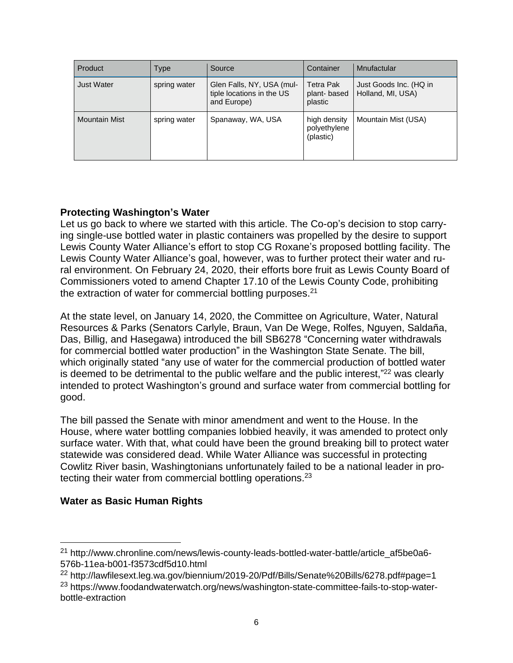| Product              | Type         | Source                                                                | Container                                  | Mnufactular                                 |
|----------------------|--------------|-----------------------------------------------------------------------|--------------------------------------------|---------------------------------------------|
| <b>Just Water</b>    | spring water | Glen Falls, NY, USA (mul-<br>tiple locations in the US<br>and Europe) | <b>Tetra Pak</b><br>plant-based<br>plastic | Just Goods Inc. (HQ in<br>Holland, MI, USA) |
| <b>Mountain Mist</b> | spring water | Spanaway, WA, USA                                                     | high density<br>polyethylene<br>(plastic)  | Mountain Mist (USA)                         |

# **Protecting Washington's Water**

Let us go back to where we started with this article. The Co-op's decision to stop carrying single-use bottled water in plastic containers was propelled by the desire to support Lewis County Water Alliance's effort to stop CG Roxane's proposed bottling facility. The Lewis County Water Alliance's goal, however, was to further protect their water and rural environment. On February 24, 2020, their efforts bore fruit as Lewis County Board of Commissioners voted to amend Chapter 17.10 of the Lewis County Code, prohibiting the extraction of water for commercial bottling purposes.<sup>21</sup>

At the state level, on January 14, 2020, the Committee on Agriculture, Water, Natural Resources & Parks (Senators Carlyle, Braun, Van De Wege, Rolfes, Nguyen, Saldaña, Das, Billig, and Hasegawa) introduced the bill SB6278 "Concerning water withdrawals for commercial bottled water production" in the Washington State Senate. The bill, which originally stated "any use of water for the commercial production of bottled water is deemed to be detrimental to the public welfare and the public interest,"<sup>22</sup> was clearly intended to protect Washington's ground and surface water from commercial bottling for good.

The bill passed the Senate with minor amendment and went to the House. In the House, where water bottling companies lobbied heavily, it was amended to protect only surface water. With that, what could have been the ground breaking bill to protect water statewide was considered dead. While Water Alliance was successful in protecting Cowlitz River basin, Washingtonians unfortunately failed to be a national leader in protecting their water from commercial bottling operations.<sup>23</sup>

# **Water as Basic Human Rights**

<sup>21</sup> http://www.chronline.com/news/lewis-county-leads-bottled-water-battle/article\_af5be0a6- 576b-11ea-b001-f3573cdf5d10.html

<sup>22</sup> http://lawfilesext.leg.wa.gov/biennium/2019-20/Pdf/Bills/Senate%20Bills/6278.pdf#page=1

<sup>&</sup>lt;sup>23</sup> https://www.foodandwaterwatch.org/news/washington-state-committee-fails-to-stop-waterbottle-extraction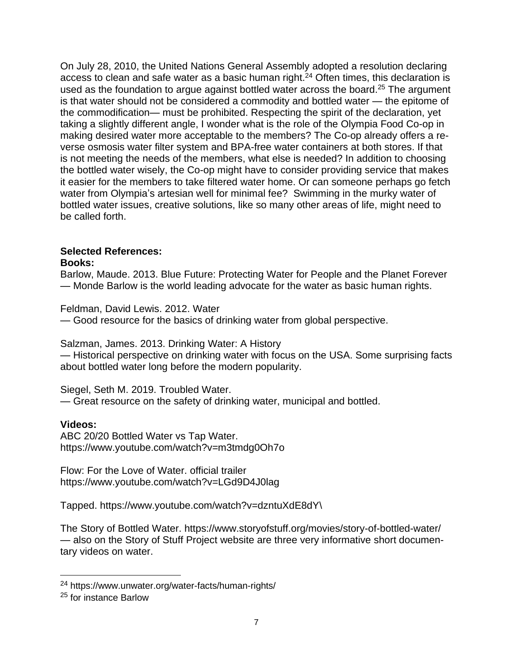On July 28, 2010, the United Nations General Assembly adopted a resolution declaring access to clean and safe water as a basic human right.<sup>24</sup> Often times, this declaration is used as the foundation to argue against bottled water across the board.<sup>25</sup> The argument is that water should not be considered a commodity and bottled water — the epitome of the commodification— must be prohibited. Respecting the spirit of the declaration, yet taking a slightly different angle, I wonder what is the role of the Olympia Food Co-op in making desired water more acceptable to the members? The Co-op already offers a reverse osmosis water filter system and BPA-free water containers at both stores. If that is not meeting the needs of the members, what else is needed? In addition to choosing the bottled water wisely, the Co-op might have to consider providing service that makes it easier for the members to take filtered water home. Or can someone perhaps go fetch water from Olympia's artesian well for minimal fee? Swimming in the murky water of bottled water issues, creative solutions, like so many other areas of life, might need to be called forth.

#### **Selected References: Books:**

Barlow, Maude. 2013. Blue Future: Protecting Water for People and the Planet Forever — Monde Barlow is the world leading advocate for the water as basic human rights.

Feldman, David Lewis. 2012. Water

— Good resource for the basics of drinking water from global perspective.

Salzman, James. 2013. Drinking Water: A History

— Historical perspective on drinking water with focus on the USA. Some surprising facts about bottled water long before the modern popularity.

Siegel, Seth M. 2019. Troubled Water. — Great resource on the safety of drinking water, municipal and bottled.

## **Videos:**

ABC 20/20 Bottled Water vs Tap Water. https://www.youtube.com/watch?v=m3tmdg0Oh7o

Flow: For the Love of Water. official trailer https://www.youtube.com/watch?v=LGd9D4J0lag

Tapped. https://www.youtube.com/watch?v=dzntuXdE8dY\

The Story of Bottled Water. https://www.storyofstuff.org/movies/story-of-bottled-water/ — also on the Story of Stuff Project website are three very informative short documentary videos on water.

<sup>24</sup> https://www.unwater.org/water-facts/human-rights/

<sup>25</sup> for instance Barlow